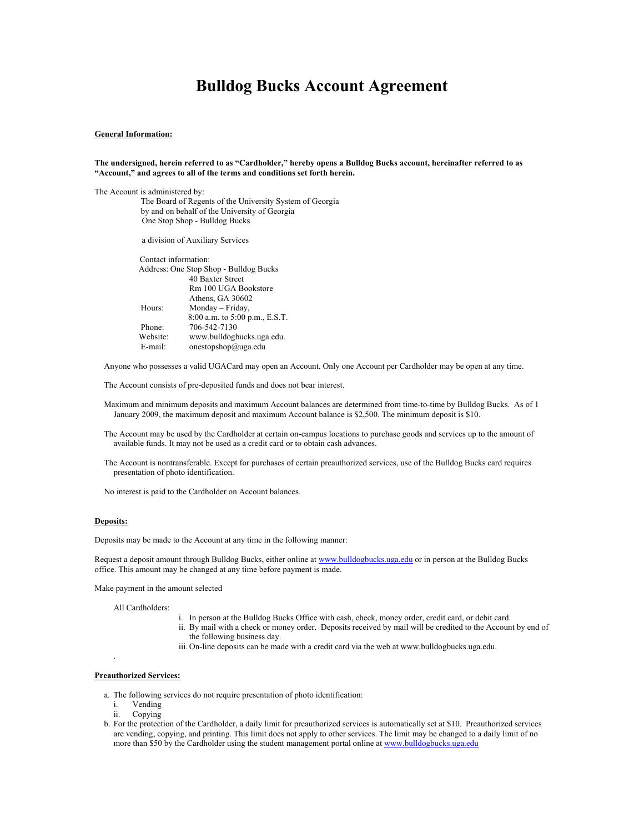# **Bulldog Bucks Account Agreement**

### **General Information:**

#### **The undersigned, herein referred to as "Cardholder," hereby opens a Bulldog Bucks account, hereinafter referred to as "Account," and agrees to all of the terms and conditions set forth herein.**

The Account is administered by:

 The Board of Regents of the University System of Georgia by and on behalf of the University of Georgia One Stop Shop - Bulldog Bucks

a division of Auxiliary Services

| Contact information: |                                        |
|----------------------|----------------------------------------|
|                      | Address: One Stop Shop - Bulldog Bucks |
|                      | 40 Baxter Street                       |
|                      | Rm 100 UGA Bookstore                   |
|                      | Athens, GA 30602                       |
| Hours:               | Monday – Friday,                       |
|                      | 8:00 a.m. to 5:00 p.m., E.S.T.         |
| Phone:               | 706-542-7130                           |
| Website:             | www.bulldogbucks.uga.edu.              |
| E-mail:              | onestopshop@uga.edu                    |

Anyone who possesses a valid UGACard may open an Account. Only one Account per Cardholder may be open at any time.

The Account consists of pre-deposited funds and does not bear interest.

Maximum and minimum deposits and maximum Account balances are determined from time-to-time by Bulldog Bucks. As of 1 January 2009, the maximum deposit and maximum Account balance is \$2,500. The minimum deposit is \$10.

The Account may be used by the Cardholder at certain on-campus locations to purchase goods and services up to the amount of available funds. It may not be used as a credit card or to obtain cash advances.

The Account is nontransferable. Except for purchases of certain preauthorized services, use of the Bulldog Bucks card requires presentation of photo identification.

No interest is paid to the Cardholder on Account balances.

#### **Deposits:**

Deposits may be made to the Account at any time in the following manner:

Request a deposit amount through Bulldog Bucks, either online at www.bulldogbucks.uga.edu or in person at the Bulldog Bucks office. This amount may be changed at any time before payment is made.

Make payment in the amount selected

All Cardholders:

- i. In person at the Bulldog Bucks Office with cash, check, money order, credit card, or debit card.
- ii. By mail with a check or money order. Deposits received by mail will be credited to the Account by end of the following business day.
- iii. On-line deposits can be made with a credit card via the web at www.bulldogbucks.uga.edu.

## **Preauthorized Services:**

.

- a. The following services do not require presentation of photo identification:
	- i. Vending
	- ii. Copying
- b. For the protection of the Cardholder, a daily limit for preauthorized services is automatically set at \$10. Preauthorized services are vending, copying, and printing. This limit does not apply to other services. The limit may be changed to a daily limit of no more than \$50 by the Cardholder using the student management portal online at www.bulldogbucks.uga.edu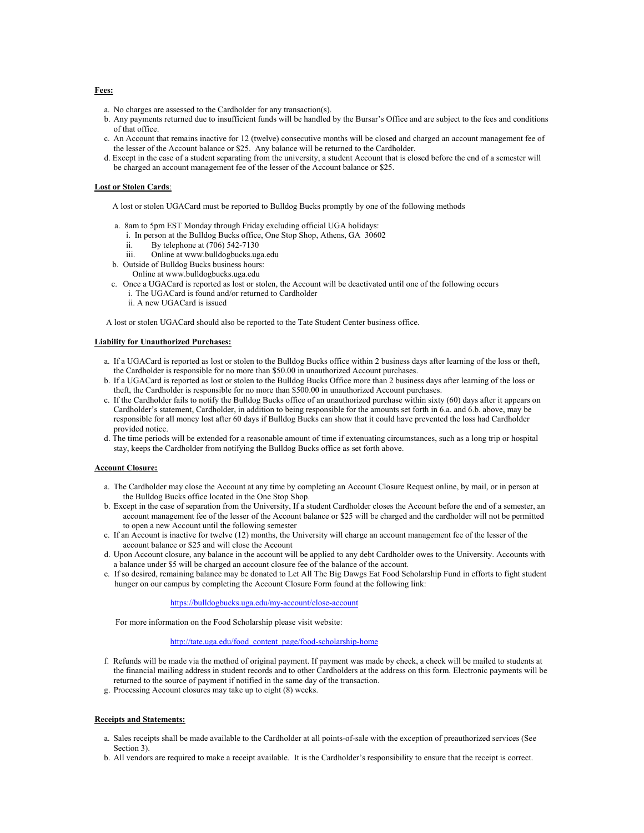# a. No charges are assessed to the Cardholder for any transaction(s).

- b. Any payments returned due to insufficient funds will be handled by the Bursar's Office and are subject to the fees and conditions of that office.
- c. An Account that remains inactive for 12 (twelve) consecutive months will be closed and charged an account management fee of the lesser of the Account balance or \$25. Any balance will be returned to the Cardholder.
- d. Except in the case of a student separating from the university, a student Account that is closed before the end of a semester will be charged an account management fee of the lesser of the Account balance or \$25.

# **Lost or Stolen Cards**:

- A lost or stolen UGACard must be reported to Bulldog Bucks promptly by one of the following methods
- a. 8am to 5pm EST Monday through Friday excluding official UGA holidays:
- i. In person at the Bulldog Bucks office, One Stop Shop, Athens, GA 30602
	- ii. By telephone at (706) 542-7130
	- iii. Online at www.bulldogbucks.uga.edu
- b. Outside of Bulldog Bucks business hours:
- Online at www.bulldogbucks.uga.edu
- c. Once a UGACard is reported as lost or stolen, the Account will be deactivated until one of the following occurs i. The UGACard is found and/or returned to Cardholder
	- ii. A new UGACard is issued

A lost or stolen UGACard should also be reported to the Tate Student Center business office.

# **Liability for Unauthorized Purchases:**

- a. If a UGACard is reported as lost or stolen to the Bulldog Bucks office within 2 business days after learning of the loss or theft, the Cardholder is responsible for no more than \$50.00 in unauthorized Account purchases.
- b. If a UGACard is reported as lost or stolen to the Bulldog Bucks Office more than 2 business days after learning of the loss or theft, the Cardholder is responsible for no more than \$500.00 in unauthorized Account purchases.
- c. If the Cardholder fails to notify the Bulldog Bucks office of an unauthorized purchase within sixty (60) days after it appears on Cardholder's statement, Cardholder, in addition to being responsible for the amounts set forth in 6.a. and 6.b. above, may be responsible for all money lost after 60 days if Bulldog Bucks can show that it could have prevented the loss had Cardholder provided notice.
- d. The time periods will be extended for a reasonable amount of time if extenuating circumstances, such as a long trip or hospital stay, keeps the Cardholder from notifying the Bulldog Bucks office as set forth above.

# **Account Closure:**

- a. The Cardholder may close the Account at any time by completing an Account Closure Request online, by mail, or in person at the Bulldog Bucks office located in the One Stop Shop.
- b. Except in the case of separation from the University, If a student Cardholder closes the Account before the end of a semester, an account management fee of the lesser of the Account balance or \$25 will be charged and the cardholder will not be permitted to open a new Account until the following semester
- c. If an Account is inactive for twelve (12) months, the University will charge an account management fee of the lesser of the account balance or \$25 and will close the Account
- d. Upon Account closure, any balance in the account will be applied to any debt Cardholder owes to the University. Accounts with a balance under \$5 will be charged an account closure fee of the balance of the account.
- e. If so desired, remaining balance may be donated to Let All The Big Dawgs Eat Food Scholarship Fund in efforts to fight student hunger on our campus by completing the Account Closure Form found at the following link:

https://bulldogbucks.uga.edu/my-account/close-account

For more information on the Food Scholarship please visit website:

# http://tate.uga.edu/food\_content\_page/food-scholarship-home

- f. Refunds will be made via the method of original payment. If payment was made by check, a check will be mailed to students at the financial mailing address in student records and to other Cardholders at the address on this form. Electronic payments will be returned to the source of payment if notified in the same day of the transaction.
- g. Processing Account closures may take up to eight (8) weeks.

# **Receipts and Statements:**

- a. Sales receipts shall be made available to the Cardholder at all points-of-sale with the exception of preauthorized services (See Section 3).
- b. All vendors are required to make a receipt available. It is the Cardholder's responsibility to ensure that the receipt is correct.

## **Fees:**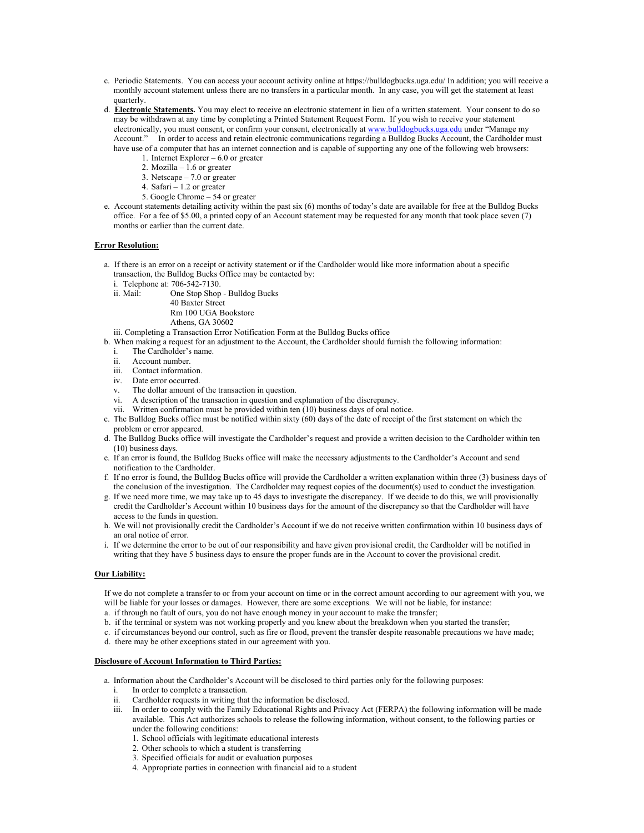- c. Periodic Statements. You can access your account activity online at https://bulldogbucks.uga.edu/ In addition; you will receive a monthly account statement unless there are no transfers in a particular month. In any case, you will get the statement at least quarterly.
- d. **Electronic Statements.** You may elect to receive an electronic statement in lieu of a written statement. Your consent to do so may be withdrawn at any time by completing a Printed Statement Request Form. If you wish to receive your statement electronically, you must consent, or confirm your consent, electronically at www.bulldogbucks.uga.edu under "Manage my Account." In order to access and retain electronic communications regarding a Bulldog Bucks Account, the Cardholder must have use of a computer that has an internet connection and is capable of supporting any one of the following web browsers:
	- 1. Internet Explorer 6.0 or greater
	- 2. Mozilla  $1.6$  or greater
	- 3. Netscape 7.0 or greater
	- 4. Safari 1.2 or greater
	- 5. Google Chrome 54 or greater
- e. Account statements detailing activity within the past six (6) months of today's date are available for free at the Bulldog Bucks office. For a fee of \$5.00, a printed copy of an Account statement may be requested for any month that took place seven (7) months or earlier than the current date.

#### **Error Resolution:**

- a. If there is an error on a receipt or activity statement or if the Cardholder would like more information about a specific transaction, the Bulldog Bucks Office may be contacted by:
	- i. Telephone at: 706-542-7130.

ii. Mail: One Stop Shop - Bulldog Bucks 40 Baxter Street Rm 100 UGA Bookstore

Athens, GA 30602

iii. Completing a Transaction Error Notification Form at the Bulldog Bucks office

- b. When making a request for an adjustment to the Account, the Cardholder should furnish the following information:
	- i. The Cardholder's name.
	- ii. Account number.
	- iii. Contact information.
	- iv. Date error occurred.
	- v. The dollar amount of the transaction in question.
	- vi. A description of the transaction in question and explanation of the discrepancy.
	- vii. Written confirmation must be provided within ten (10) business days of oral notice.
- c. The Bulldog Bucks office must be notified within sixty (60) days of the date of receipt of the first statement on which the problem or error appeared.
- d. The Bulldog Bucks office will investigate the Cardholder's request and provide a written decision to the Cardholder within ten (10) business days.
- e. If an error is found, the Bulldog Bucks office will make the necessary adjustments to the Cardholder's Account and send notification to the Cardholder.
- f. If no error is found, the Bulldog Bucks office will provide the Cardholder a written explanation within three (3) business days of the conclusion of the investigation. The Cardholder may request copies of the document(s) used to conduct the investigation.
- g. If we need more time, we may take up to 45 days to investigate the discrepancy. If we decide to do this, we will provisionally credit the Cardholder's Account within 10 business days for the amount of the discrepancy so that the Cardholder will have access to the funds in question.
- h. We will not provisionally credit the Cardholder's Account if we do not receive written confirmation within 10 business days of an oral notice of error.
- i. If we determine the error to be out of our responsibility and have given provisional credit, the Cardholder will be notified in writing that they have 5 business days to ensure the proper funds are in the Account to cover the provisional credit.

#### **Our Liability:**

If we do not complete a transfer to or from your account on time or in the correct amount according to our agreement with you, we will be liable for your losses or damages. However, there are some exceptions. We will not be liable, for instance:

- a. if through no fault of ours, you do not have enough money in your account to make the transfer;
- b. if the terminal or system was not working properly and you knew about the breakdown when you started the transfer;
- c. if circumstances beyond our control, such as fire or flood, prevent the transfer despite reasonable precautions we have made;
- d. there may be other exceptions stated in our agreement with you.

#### **Disclosure of Account Information to Third Parties:**

a. Information about the Cardholder's Account will be disclosed to third parties only for the following purposes:

- i. In order to complete a transaction.
- ii. Cardholder requests in writing that the information be disclosed.
- iii. In order to comply with the Family Educational Rights and Privacy Act (FERPA) the following information will be made available. This Act authorizes schools to release the following information, without consent, to the following parties or under the following conditions:
	- 1. School officials with legitimate educational interests
	- 2. Other schools to which a student is transferring
	- 3. Specified officials for audit or evaluation purposes
	- 4. Appropriate parties in connection with financial aid to a student